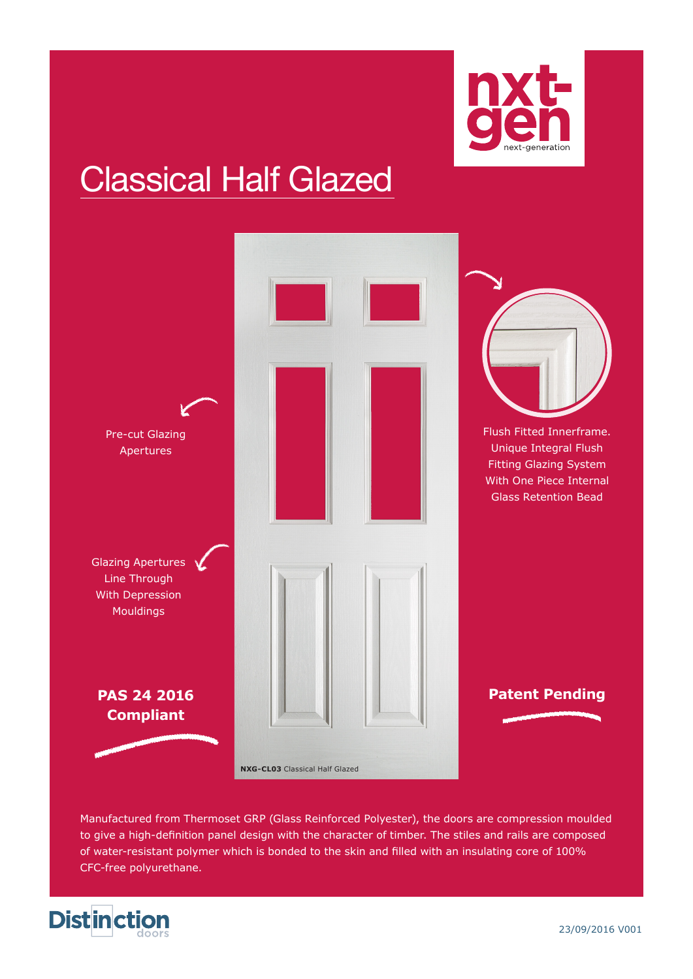

# Classical Half Glazed



Manufactured from Thermoset GRP (Glass Reinforced Polyester), the doors are compression moulded to give a high-definition panel design with the character of timber. The stiles and rails are composed of water-resistant polymer which is bonded to the skin and filled with an insulating core of 100% CFC-free polyurethane.